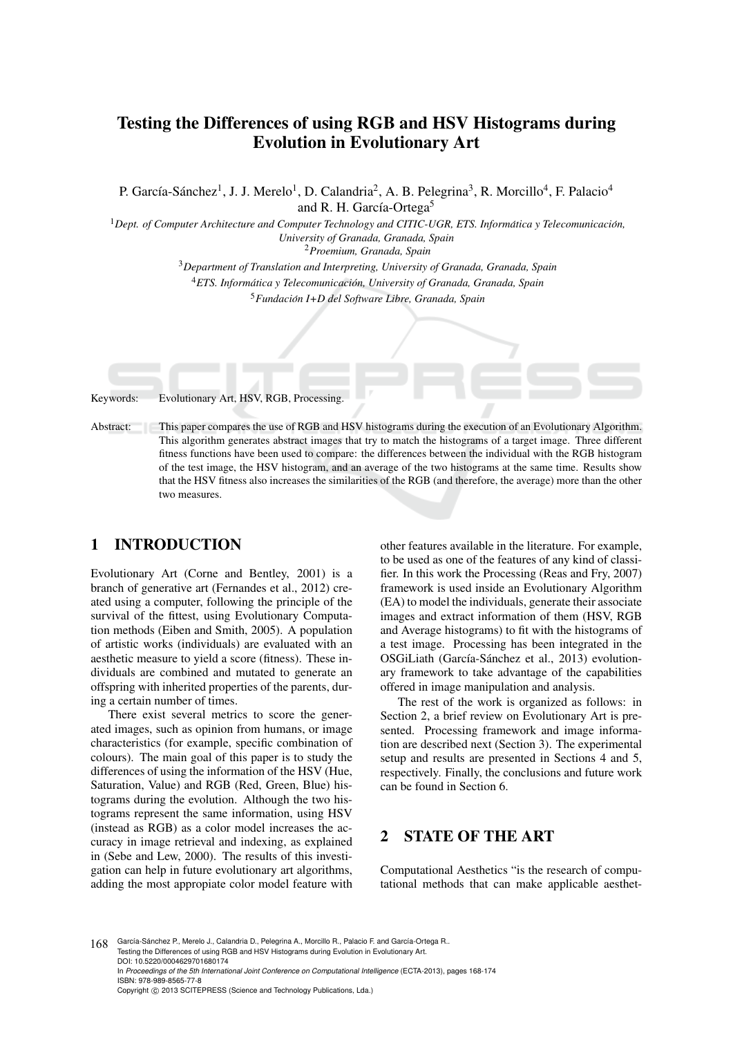# Testing the Differences of using RGB and HSV Histograms during Evolution in Evolutionary Art

P. García-Sánchez<sup>1</sup>, J. J. Merelo<sup>1</sup>, D. Calandria<sup>2</sup>, A. B. Pelegrina<sup>3</sup>, R. Morcillo<sup>4</sup>, F. Palacio<sup>4</sup> and R. H. García-Ortega<sup>5</sup>

<sup>1</sup>*Dept. of Computer Architecture and Computer Technology and CITIC-UGR, ETS. Informatica y Telecomunicaci ´ on, ´ University of Granada, Granada, Spain*

<sup>2</sup>*Proemium, Granada, Spain*

<sup>3</sup>*Department of Translation and Interpreting, University of Granada, Granada, Spain* <sup>4</sup>*ETS. Informatica y Telecomunicaci ´ on, University of Granada, Granada, Spain ´*

<sup>5</sup>*Fundacion I+D del Software Libre, Granada, Spain ´*

Keywords: Evolutionary Art, HSV, RGB, Processing.

Abstract: This paper compares the use of RGB and HSV histograms during the execution of an Evolutionary Algorithm. This algorithm generates abstract images that try to match the histograms of a target image. Three different fitness functions have been used to compare: the differences between the individual with the RGB histogram of the test image, the HSV histogram, and an average of the two histograms at the same time. Results show that the HSV fitness also increases the similarities of the RGB (and therefore, the average) more than the other two measures.

# 1 INTRODUCTION

Evolutionary Art (Corne and Bentley, 2001) is a branch of generative art (Fernandes et al., 2012) created using a computer, following the principle of the survival of the fittest, using Evolutionary Computation methods (Eiben and Smith, 2005). A population of artistic works (individuals) are evaluated with an aesthetic measure to yield a score (fitness). These individuals are combined and mutated to generate an offspring with inherited properties of the parents, during a certain number of times.

There exist several metrics to score the generated images, such as opinion from humans, or image characteristics (for example, specific combination of colours). The main goal of this paper is to study the differences of using the information of the HSV (Hue, Saturation, Value) and RGB (Red, Green, Blue) histograms during the evolution. Although the two histograms represent the same information, using HSV (instead as RGB) as a color model increases the accuracy in image retrieval and indexing, as explained in (Sebe and Lew, 2000). The results of this investigation can help in future evolutionary art algorithms, adding the most appropiate color model feature with

other features available in the literature. For example, to be used as one of the features of any kind of classifier. In this work the Processing (Reas and Fry, 2007) framework is used inside an Evolutionary Algorithm (EA) to model the individuals, generate their associate images and extract information of them (HSV, RGB and Average histograms) to fit with the histograms of a test image. Processing has been integrated in the OSGiLiath (García-Sánchez et al., 2013) evolutionary framework to take advantage of the capabilities offered in image manipulation and analysis.

The rest of the work is organized as follows: in Section 2, a brief review on Evolutionary Art is presented. Processing framework and image information are described next (Section 3). The experimental setup and results are presented in Sections 4 and 5, respectively. Finally, the conclusions and future work can be found in Section 6.

## 2 STATE OF THE ART

Computational Aesthetics "is the research of computational methods that can make applicable aesthet-

168 García-Sánchez P., Merelo J., Calandria D., Pelegrina A., Morcillo R., Palacio F. and García-Ortega R.. Testing the Differences of using RGB and HSV Histograms during Evolution in Evolutionary Art. DOI: 10.5220/0004629701680174 In *Proceedings of the 5th International Joint Conference on Computational Intelligence* (ECTA-2013), pages 168-174 ISBN: 978-989-8565-77-8 Copyright (C) 2013 SCITEPRESS (Science and Technology Publications, Lda.)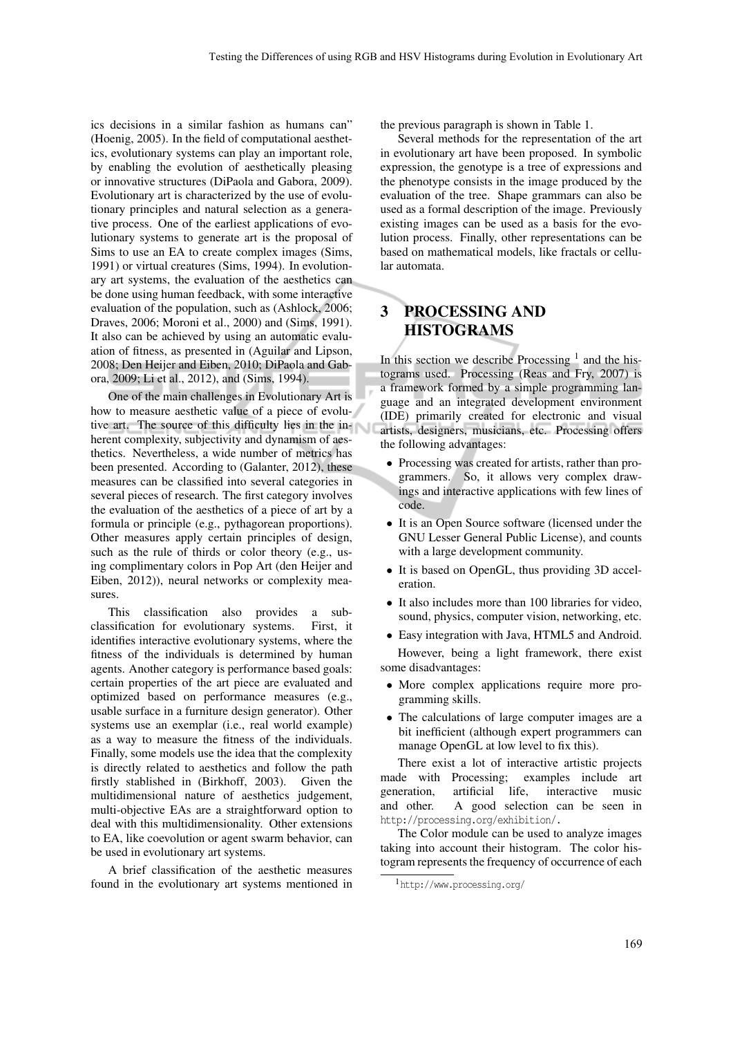ics decisions in a similar fashion as humans can" (Hoenig, 2005). In the field of computational aesthetics, evolutionary systems can play an important role, by enabling the evolution of aesthetically pleasing or innovative structures (DiPaola and Gabora, 2009). Evolutionary art is characterized by the use of evolutionary principles and natural selection as a generative process. One of the earliest applications of evolutionary systems to generate art is the proposal of Sims to use an EA to create complex images (Sims, 1991) or virtual creatures (Sims, 1994). In evolutionary art systems, the evaluation of the aesthetics can be done using human feedback, with some interactive evaluation of the population, such as (Ashlock, 2006; Draves, 2006; Moroni et al., 2000) and (Sims, 1991). It also can be achieved by using an automatic evaluation of fitness, as presented in (Aguilar and Lipson, 2008; Den Heijer and Eiben, 2010; DiPaola and Gabora, 2009; Li et al., 2012), and (Sims, 1994).

One of the main challenges in Evolutionary Art is how to measure aesthetic value of a piece of evolutive art. The source of this difficulty lies in the inherent complexity, subjectivity and dynamism of aesthetics. Nevertheless, a wide number of metrics has been presented. According to (Galanter, 2012), these measures can be classified into several categories in several pieces of research. The first category involves the evaluation of the aesthetics of a piece of art by a formula or principle (e.g., pythagorean proportions). Other measures apply certain principles of design, such as the rule of thirds or color theory (e.g., using complimentary colors in Pop Art (den Heijer and Eiben, 2012)), neural networks or complexity measures.

This classification also provides a subclassification for evolutionary systems. First, it identifies interactive evolutionary systems, where the fitness of the individuals is determined by human agents. Another category is performance based goals: certain properties of the art piece are evaluated and optimized based on performance measures (e.g., usable surface in a furniture design generator). Other systems use an exemplar (i.e., real world example) as a way to measure the fitness of the individuals. Finally, some models use the idea that the complexity is directly related to aesthetics and follow the path firstly stablished in (Birkhoff, 2003). Given the multidimensional nature of aesthetics judgement, multi-objective EAs are a straightforward option to deal with this multidimensionality. Other extensions to EA, like coevolution or agent swarm behavior, can be used in evolutionary art systems.

A brief classification of the aesthetic measures found in the evolutionary art systems mentioned in the previous paragraph is shown in Table 1.

Several methods for the representation of the art in evolutionary art have been proposed. In symbolic expression, the genotype is a tree of expressions and the phenotype consists in the image produced by the evaluation of the tree. Shape grammars can also be used as a formal description of the image. Previously existing images can be used as a basis for the evolution process. Finally, other representations can be based on mathematical models, like fractals or cellular automata.

# 3 PROCESSING AND HISTOGRAMS

In this section we describe Processing  $<sup>1</sup>$  and the his-</sup> tograms used. Processing (Reas and Fry, 2007) is a framework formed by a simple programming language and an integrated development environment (IDE) primarily created for electronic and visual artists, designers, musicians, etc. Processing offers the following advantages:

- *•* Processing was created for artists, rather than programmers. So, it allows very complex drawings and interactive applications with few lines of code.
- *•* It is an Open Source software (licensed under the GNU Lesser General Public License), and counts with a large development community.
- *•* It is based on OpenGL, thus providing 3D acceleration.
- *•* It also includes more than 100 libraries for video, sound, physics, computer vision, networking, etc.
- *•* Easy integration with Java, HTML5 and Android.

However, being a light framework, there exist some disadvantages:

- More complex applications require more programming skills.
- *•* The calculations of large computer images are a bit inefficient (although expert programmers can manage OpenGL at low level to fix this).

There exist a lot of interactive artistic projects made with Processing; examples include art generation, artificial life, interactive music and other. A good selection can be seen in http://processing.org/exhibition/.

The Color module can be used to analyze images taking into account their histogram. The color histogram represents the frequency of occurrence of each

<sup>1</sup>http://www.processing.org/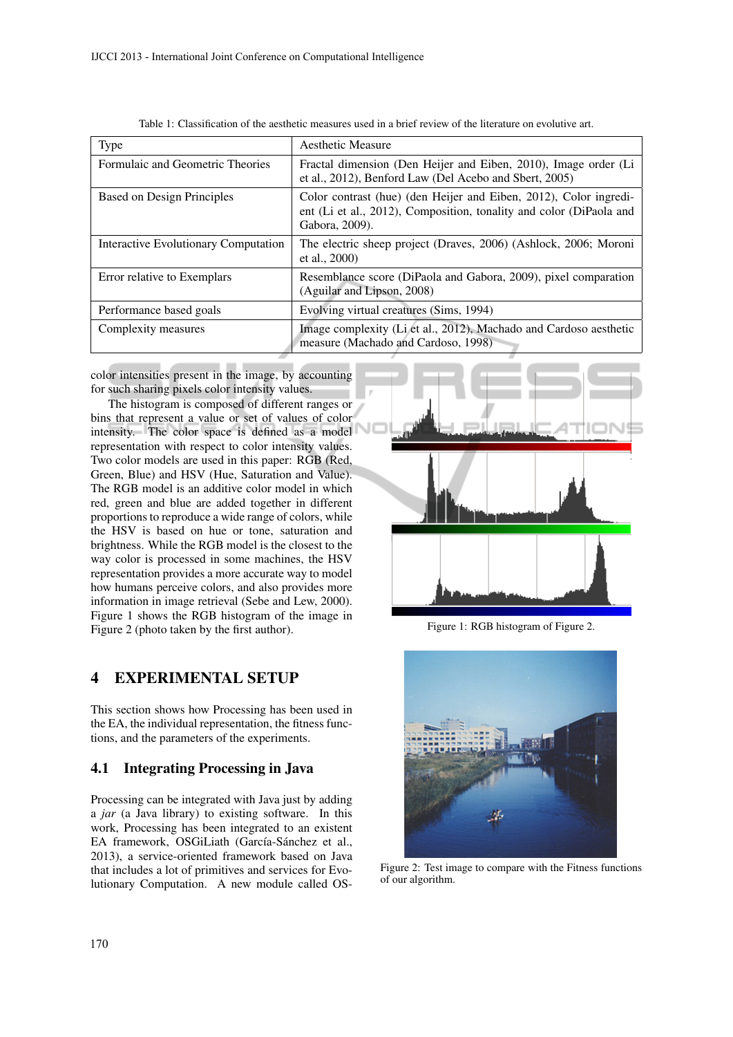| Type                                 | Aesthetic Measure                                                                                                                                          |  |  |
|--------------------------------------|------------------------------------------------------------------------------------------------------------------------------------------------------------|--|--|
| Formulaic and Geometric Theories     | Fractal dimension (Den Heijer and Eiben, 2010), Image order (Li<br>et al., 2012), Benford Law (Del Acebo and Sbert, 2005)                                  |  |  |
| <b>Based on Design Principles</b>    | Color contrast (hue) (den Heijer and Eiben, 2012), Color ingredi-<br>ent (Li et al., 2012), Composition, tonality and color (DiPaola and<br>Gabora, 2009). |  |  |
| Interactive Evolutionary Computation | The electric sheep project (Draves, 2006) (Ashlock, 2006; Moroni<br>et al., 2000)                                                                          |  |  |
| Error relative to Exemplars          | Resemblance score (DiPaola and Gabora, 2009), pixel comparation<br>(Aguilar and Lipson, 2008)                                                              |  |  |
| Performance based goals              | Evolving virtual creatures (Sims, 1994)                                                                                                                    |  |  |
| Complexity measures                  | Image complexity (Li et al., 2012), Machado and Cardoso aesthetic<br>measure (Machado and Cardoso, 1998)                                                   |  |  |

color intensities present in the image, by accounting for such sharing pixels color intensity values.

The histogram is composed of different ranges or bins that represent a value or set of values of color intensity. The color space is defined as a model representation with respect to color intensity values. Two color models are used in this paper: RGB (Red, Green, Blue) and HSV (Hue, Saturation and Value). The RGB model is an additive color model in which red, green and blue are added together in different proportions to reproduce a wide range of colors, while the HSV is based on hue or tone, saturation and brightness. While the RGB model is the closest to the way color is processed in some machines, the HSV representation provides a more accurate way to model how humans perceive colors, and also provides more information in image retrieval (Sebe and Lew, 2000). Figure 1 shows the RGB histogram of the image in Figure 2 (photo taken by the first author).

### 4 EXPERIMENTAL SETUP

This section shows how Processing has been used in the EA, the individual representation, the fitness functions, and the parameters of the experiments.

### 4.1 Integrating Processing in Java

Processing can be integrated with Java just by adding a *jar* (a Java library) to existing software. In this work, Processing has been integrated to an existent EA framework, OSGiLiath (García-Sánchez et al., 2013), a service-oriented framework based on Java that includes a lot of primitives and services for Evolutionary Computation. A new module called OS-



Figure 1: RGB histogram of Figure 2.



Figure 2: Test image to compare with the Fitness functions of our algorithm.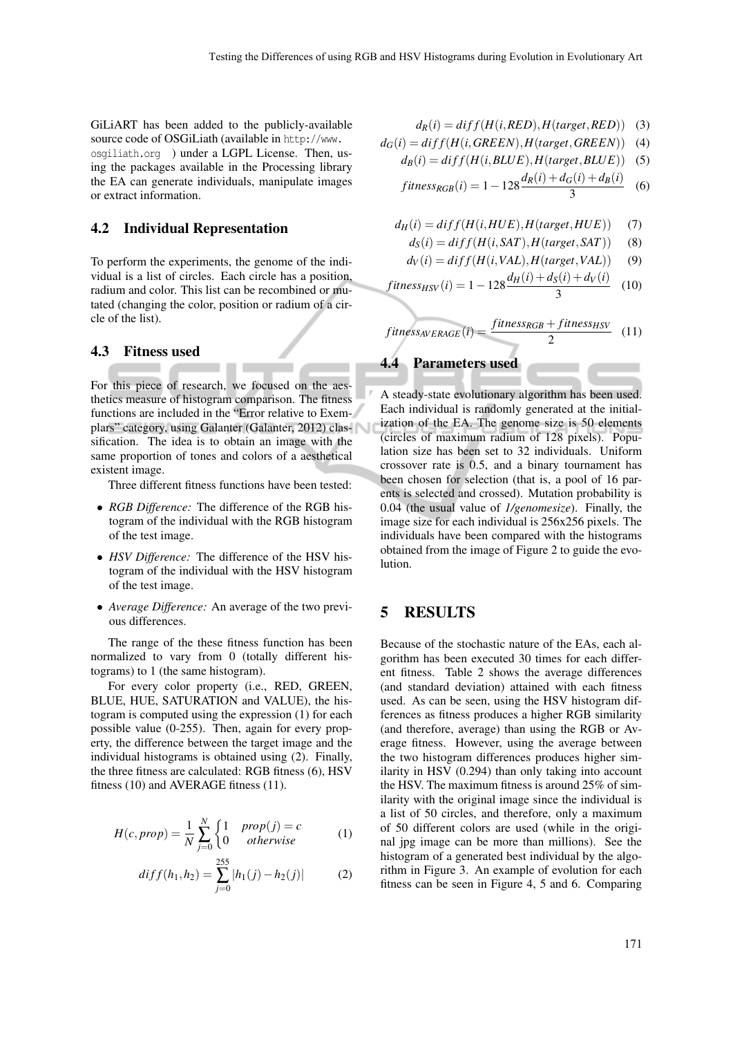GiLiART has been added to the publicly-available source code of OSGiLiath (available in http://www. osgiliath.org ) under a LGPL License. Then, using the packages available in the Processing library the EA can generate individuals, manipulate images or extract information.

#### 4.2 Individual Representation

To perform the experiments, the genome of the individual is a list of circles. Each circle has a position, radium and color. This list can be recombined or mutated (changing the color, position or radium of a circle of the list).

#### 4.3 Fitness used

For this piece of research, we focused on the aesthetics measure of histogram comparison. The fitness functions are included in the "Error relative to Exemplars" category, using Galanter (Galanter, 2012) classification. The idea is to obtain an image with the same proportion of tones and colors of a aesthetical existent image.

Three different fitness functions have been tested:

- *• RGB Difference:* The difference of the RGB histogram of the individual with the RGB histogram of the test image.
- *• HSV Difference:* The difference of the HSV histogram of the individual with the HSV histogram of the test image.
- *• Average Difference:* An average of the two previous differences.

The range of the these fitness function has been normalized to vary from 0 (totally different histograms) to 1 (the same histogram).

For every color property (i.e., RED, GREEN, BLUE, HUE, SATURATION and VALUE), the histogram is computed using the expression (1) for each possible value (0-255). Then, again for every property, the difference between the target image and the individual histograms is obtained using (2). Finally, the three fitness are calculated: RGB fitness (6), HSV fitness (10) and AVERAGE fitness (11).

$$
H(c, prop) = \frac{1}{N} \sum_{j=0}^{N} \begin{cases} 1 & prop(j) = c \\ 0 & otherwise \end{cases}
$$
 (1)

$$
diff(h_1, h_2) = \sum_{j=0}^{255} |h_1(j) - h_2(j)| \tag{2}
$$

$$
d_R(i) = diff(H(i, RED), H(target, RED)) \quad (3)
$$

$$
d_G(i) = diff(H(i, GREEN), H(target, GREEN)) \quad (4)
$$

$$
d_B(i) = diff(H(i, BLUE), H(target, BLUE))
$$
 (5)

$$
fitness_{RGB}(i) = 1 - 128 \frac{d_R(i) + d_G(i) + d_B(i)}{3}
$$
 (6)

$$
d_H(i) = diff(H(i, HUE), H(target, HUE)) \tag{7}
$$

$$
d_S(i) = diff(H(i, SAT), H(target, SAT))
$$
 (8)

$$
d_V(i) = diff(H(i, VAL), H(target, VAL)) \tag{9}
$$

$$
fitness_{HSV}(i) = 1 - 128 \frac{a_H(t) + a_S(t) + a_V(t)}{3}
$$
 (10)

$$
fitness_{AVERAGE}(i) = \frac{fitness_{RGB} + fitness_{HSV}}{2}
$$
 (11)

4.4 Parameters used

A steady-state evolutionary algorithm has been used. Each individual is randomly generated at the initialization of the EA. The genome size is 50 elements (circles of maximum radium of 128 pixels). Population size has been set to 32 individuals. Uniform crossover rate is 0.5, and a binary tournament has been chosen for selection (that is, a pool of 16 parents is selected and crossed). Mutation probability is 0.04 (the usual value of *1/genomesize*). Finally, the image size for each individual is 256x256 pixels. The individuals have been compared with the histograms obtained from the image of Figure 2 to guide the evolution.

## 5 RESULTS

Because of the stochastic nature of the EAs, each algorithm has been executed 30 times for each different fitness. Table 2 shows the average differences (and standard deviation) attained with each fitness used. As can be seen, using the HSV histogram differences as fitness produces a higher RGB similarity (and therefore, average) than using the RGB or Average fitness. However, using the average between the two histogram differences produces higher similarity in HSV (0.294) than only taking into account the HSV. The maximum fitness is around 25% of similarity with the original image since the individual is a list of 50 circles, and therefore, only a maximum of 50 different colors are used (while in the original jpg image can be more than millions). See the histogram of a generated best individual by the algorithm in Figure 3. An example of evolution for each fitness can be seen in Figure 4, 5 and 6. Comparing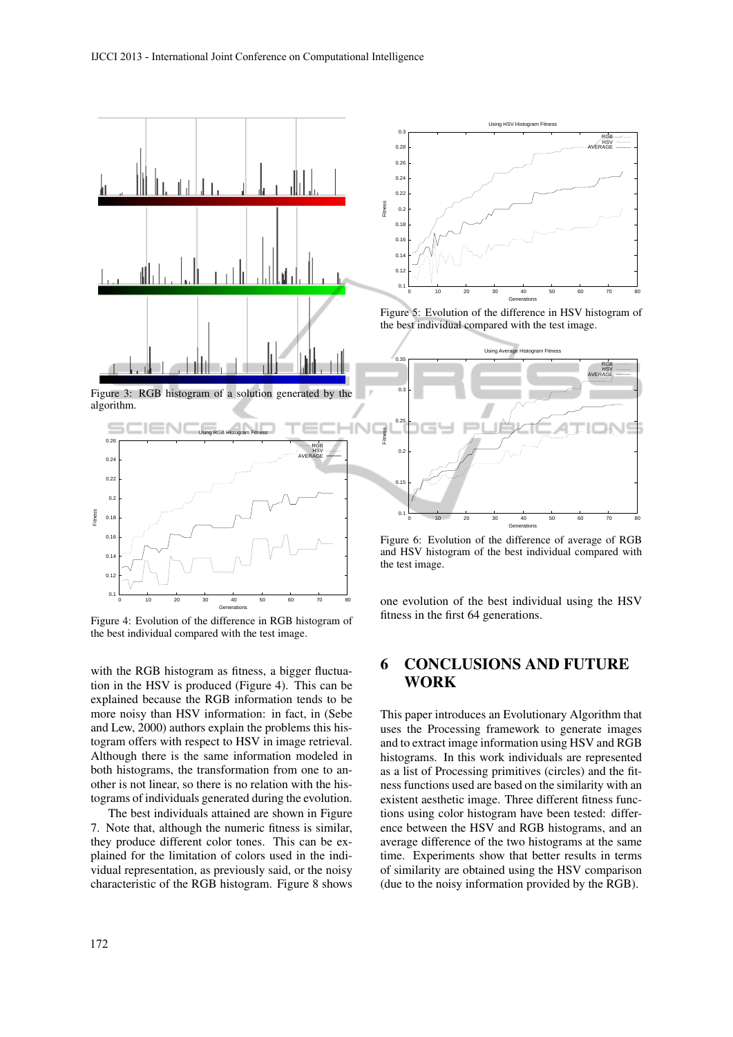

Figure 3: RGB histogram of a solution generated by the algorithm.



Figure 4: Evolution of the difference in RGB histogram of the best individual compared with the test image.

with the RGB histogram as fitness, a bigger fluctuation in the HSV is produced (Figure 4). This can be explained because the RGB information tends to be more noisy than HSV information: in fact, in (Sebe and Lew, 2000) authors explain the problems this histogram offers with respect to HSV in image retrieval. Although there is the same information modeled in both histograms, the transformation from one to another is not linear, so there is no relation with the histograms of individuals generated during the evolution.

The best individuals attained are shown in Figure 7. Note that, although the numeric fitness is similar, they produce different color tones. This can be explained for the limitation of colors used in the individual representation, as previously said, or the noisy characteristic of the RGB histogram. Figure 8 shows



Figure 5: Evolution of the difference in HSV histogram of the best individual compared with the test image.



Figure 6: Evolution of the difference of average of RGB and HSV histogram of the best individual compared with the test image.

one evolution of the best individual using the HSV fitness in the first 64 generations.

### 6 CONCLUSIONS AND FUTURE WORK

This paper introduces an Evolutionary Algorithm that uses the Processing framework to generate images and to extract image information using HSV and RGB histograms. In this work individuals are represented as a list of Processing primitives (circles) and the fitness functions used are based on the similarity with an existent aesthetic image. Three different fitness functions using color histogram have been tested: difference between the HSV and RGB histograms, and an average difference of the two histograms at the same time. Experiments show that better results in terms of similarity are obtained using the HSV comparison (due to the noisy information provided by the RGB).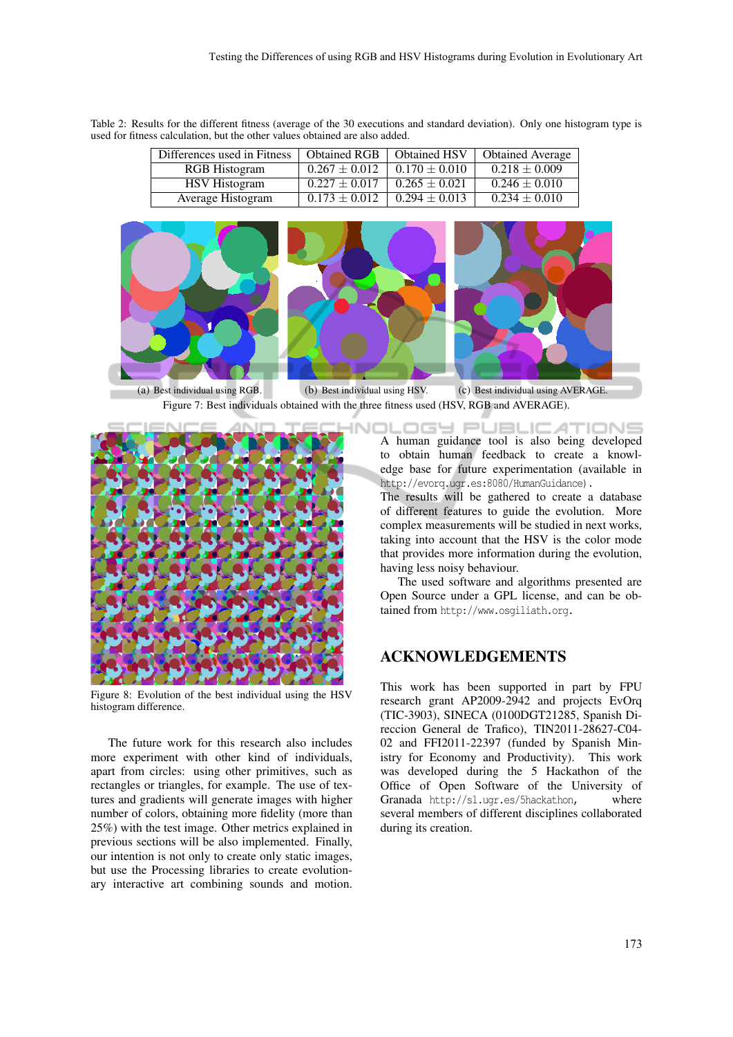Table 2: Results for the different fitness (average of the 30 executions and standard deviation). Only one histogram type is used for fitness calculation, but the other values obtained are also added.

| Differences used in Fitness | <b>Obtained RGB</b> | <b>Obtained HSV</b> | <b>Obtained Average</b> |
|-----------------------------|---------------------|---------------------|-------------------------|
| <b>RGB</b> Histogram        | $0.267 \pm 0.012$   | $0.170 \pm 0.010$   | $0.218 \pm 0.009$       |
| <b>HSV</b> Histogram        | $0.227 \pm 0.017$   | $0.265 \pm 0.021$   | $0.246 \pm 0.010$       |
| Average Histogram           | $0.173 \pm 0.012$   | $0.294 \pm 0.013$   | $0.234 \pm 0.010$       |



(a) Best individual using RGB. (b) Best individual using HSV. (c) Best individual using AVERAGE. Figure 7: Best individuals obtained with the three fitness used (HSV, RGB and AVERAGE).



Figure 8: Evolution of the best individual using the HSV histogram difference.

The future work for this research also includes more experiment with other kind of individuals, apart from circles: using other primitives, such as rectangles or triangles, for example. The use of textures and gradients will generate images with higher number of colors, obtaining more fidelity (more than 25%) with the test image. Other metrics explained in previous sections will be also implemented. Finally, our intention is not only to create only static images, but use the Processing libraries to create evolutionary interactive art combining sounds and motion.

DLOGY PUBLICATIONS A human guidance tool is also being developed to obtain human feedback to create a knowledge base for future experimentation (available in http://evorq.ugr.es:8080/HumanGuidance).

The results will be gathered to create a database of different features to guide the evolution. More complex measurements will be studied in next works, taking into account that the HSV is the color mode that provides more information during the evolution, having less noisy behaviour.

The used software and algorithms presented are Open Source under a GPL license, and can be obtained from http://www.osgiliath.org.

#### ACKNOWLEDGEMENTS

This work has been supported in part by FPU research grant AP2009-2942 and projects EvOrq (TIC-3903), SINECA (0100DGT21285, Spanish Direccion General de Trafico), TIN2011-28627-C04- 02 and FFI2011-22397 (funded by Spanish Ministry for Economy and Productivity). This work was developed during the 5 Hackathon of the Office of Open Software of the University of Granada http://sl.ugr.es/5hackathon, where several members of different disciplines collaborated during its creation.